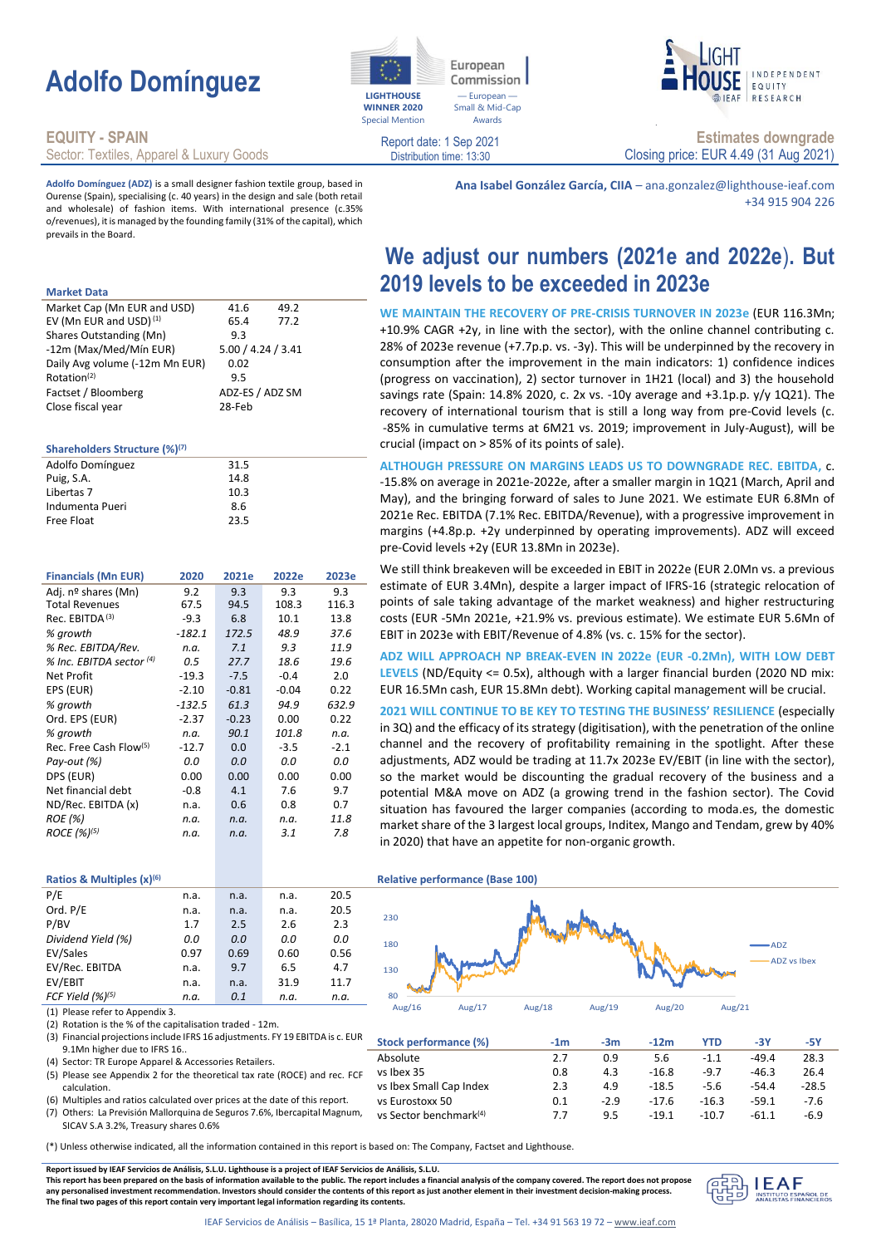# **Adolfo Domínguez**

### **EQUITY - SPAIN**

Sector: Textiles, Apparel & Luxury Goods

**Adolfo Domínguez (ADZ)** is a small designer fashion textile group, based in Ourense (Spain), specialising (c. 40 years) in the design and sale (both retail and wholesale) of fashion items. With international presence (c.35% o/revenues), it is managed by the founding family (31% of the capital), which prevails in the Board.

#### **Market Data**

| Market Cap (Mn EUR and USD)        | 41.6               | 49.2 |
|------------------------------------|--------------------|------|
| EV (Mn EUR and USD) <sup>(1)</sup> | 65.4               | 77.2 |
| Shares Outstanding (Mn)            | 9.3                |      |
| -12m (Max/Med/Mín EUR)             | 5.00 / 4.24 / 3.41 |      |
| Daily Avg volume (-12m Mn EUR)     | 0.02               |      |
| Rotation <sup>(2)</sup>            | 9.5                |      |
| Factset / Bloomberg                | ADZ-ES / ADZ SM    |      |
| Close fiscal year                  | 28-Feb             |      |

### **Shareholders Structure (%)(7)**

| Adolfo Domínguez | 31.5 |  |
|------------------|------|--|
| Puig, S.A.       | 14.8 |  |
| Libertas 7       | 10.3 |  |
| Indumenta Pueri  | 8.6  |  |
| Free Float       | 23.5 |  |
|                  |      |  |

| <b>Financials (Mn EUR)</b>         | 2020     | 2021e   | 2022e   | 2023e  |
|------------------------------------|----------|---------|---------|--------|
| Adj. nº shares (Mn)                | 9.2      | 9.3     | 9.3     | 9.3    |
| <b>Total Revenues</b>              | 67.5     | 94.5    | 108.3   | 116.3  |
| Rec. EBITDA <sup>(3)</sup>         | $-9.3$   | 6.8     | 10.1    | 13.8   |
| % growth                           | $-182.1$ | 172.5   | 48.9    | 37.6   |
| % Rec. EBITDA/Rev.                 | n.a.     | 7.1     | 9.3     | 11.9   |
| % Inc. EBITDA sector (4)           | 0.5      | 27.7    | 18.6    | 19.6   |
| Net Profit                         | $-19.3$  | $-7.5$  | $-0.4$  | 2.0    |
| EPS (EUR)                          | $-2.10$  | $-0.81$ | $-0.04$ | 0.22   |
| % growth                           | $-132.5$ | 61.3    | 94.9    | 632.9  |
| Ord. EPS (EUR)                     | $-2.37$  | $-0.23$ | 0.00    | 0.22   |
| % growth                           | n.a.     | 90.1    | 101.8   | n.a.   |
| Rec. Free Cash Flow <sup>(5)</sup> | $-12.7$  | 0.0     | $-3.5$  | $-2.1$ |
| Pay-out (%)                        | 0.0      | 0.0     | 0.0     | 0.0    |
| DPS (EUR)                          | 0.00     | 0.00    | 0.00    | 0.00   |
| Net financial debt                 | $-0.8$   | 4.1     | 7.6     | 9.7    |
| ND/Rec. EBITDA (x)                 | n.a.     | 0.6     | 0.8     | 0.7    |
| <b>ROE</b> (%)                     | n.a.     | n.a.    | n.a.    | 11.8   |
| $ROCE (%)^{(5)}$                   | n.a.     | n.a.    | 3.1     | 7.8    |
|                                    |          |         |         |        |

### Distribution time: 13:30 Closing price: EUR 4.49 (31 Aug 2021) **Ana Isabel González García, CIIA** – ana.gonzalez@lighthouse-ieaf.com

- European Small & Mid-Cap Awards

Commission

European

**WINNER 2020** Special Mention

Report date: 1 Sep 2021

## **We adjust our numbers (2021e and 2022e**)**. But 2019 levels to be exceeded in 2023e**

**Estimates downgrade**

**FOULTY** RESEARCH

+34 915 904 226

INDEPENDENT

**WE MAINTAIN THE RECOVERY OF PRE-CRISIS TURNOVER IN 2023e** (EUR 116.3Mn; +10.9% CAGR +2y, in line with the sector), with the online channel contributing c. 28% of 2023e revenue (+7.7p.p. vs. -3y). This will be underpinned by the recovery in consumption after the improvement in the main indicators: 1) confidence indices (progress on vaccination), 2) sector turnover in 1H21 (local) and 3) the household savings rate (Spain: 14.8% 2020, c. 2x vs. -10y average and +3.1p.p. y/y 1Q21). The recovery of international tourism that is still a long way from pre-Covid levels (c. -85% in cumulative terms at 6M21 vs. 2019; improvement in July-August), will be crucial (impact on > 85% of its points of sale).

**ALTHOUGH PRESSURE ON MARGINS LEADS US TO DOWNGRADE REC. EBITDA,** c. -15.8% on average in 2021e-2022e, after a smaller margin in 1Q21 (March, April and May), and the bringing forward of sales to June 2021. We estimate EUR 6.8Mn of 2021e Rec. EBITDA (7.1% Rec. EBITDA/Revenue), with a progressive improvement in margins (+4.8p.p. +2y underpinned by operating improvements). ADZ will exceed pre-Covid levels +2y (EUR 13.8Mn in 2023e).

We still think breakeven will be exceeded in EBIT in 2022e (EUR 2.0Mn vs. a previous estimate of EUR 3.4Mn), despite a larger impact of IFRS-16 (strategic relocation of points of sale taking advantage of the market weakness) and higher restructuring costs (EUR -5Mn 2021e, +21.9% vs. previous estimate). We estimate EUR 5.6Mn of EBIT in 2023e with EBIT/Revenue of 4.8% (vs. c. 15% for the sector).

**ADZ WILL APPROACH NP BREAK-EVEN IN 2022e (EUR -0.2Mn), WITH LOW DEBT LEVELS** (ND/Equity <= 0.5x), although with a larger financial burden (2020 ND mix: EUR 16.5Mn cash, EUR 15.8Mn debt). Working capital management will be crucial.

**2021 WILL CONTINUE TO BE KEY TO TESTING THE BUSINESS' RESILIENCE** (especially in 3Q) and the efficacy of its strategy (digitisation), with the penetration of the online channel and the recovery of profitability remaining in the spotlight. After these adjustments, ADZ would be trading at 11.7x 2023e EV/EBIT (in line with the sector), so the market would be discounting the gradual recovery of the business and a potential M&A move on ADZ (a growing trend in the fashion sector). The Covid situation has favoured the larger companies (according to moda.es, the domestic market share of the 3 largest local groups, Inditex, Mango and Tendam, grew by 40% in 2020) that have an appetite for non-organic growth.

Aug/16 Aug/17 Aug/18 Aug/19 Aug/20 Aug/21

### **Ratios & Multiples (x)<sup>(6)</sup> <b>Relative performance (Base 100) Relative performance (Base 100)**

| P/E                          | n.a. | n.a. | n.a. | 20.5 |  |
|------------------------------|------|------|------|------|--|
| Ord. P/E                     | n.a. | n.a. | n.a. | 20.5 |  |
| P/BV                         | 1.7  | 2.5  | 2.6  | 2.3  |  |
| Dividend Yield (%)           | 0.0  | 0.0  | 0.0  | 0.0  |  |
| EV/Sales                     | 0.97 | 0.69 | 0.60 | 0.56 |  |
| EV/Rec. EBITDA               | n.a. | 9.7  | 6.5  | 4.7  |  |
| EV/EBIT                      | n.a. | n.a. | 31.9 | 11.7 |  |
| FCF Yield (%) <sup>(5)</sup> | n.a. | 0.1  | n.a. | n.a. |  |

(1) Please refer to Appendix 3.

(2) Rotation is the % of the capitalisation traded - 12m.

| (3) Financial projections include IFRS 16 adjustments. FY 19 EBITDA is c. EUR<br>9.1Mn higher due to IFRS 16 | Stock performance (%)              | -1m | -3m    | $-12m$  | YTD     | -3Y     | -5Y     |
|--------------------------------------------------------------------------------------------------------------|------------------------------------|-----|--------|---------|---------|---------|---------|
| (4) Sector: TR Europe Apparel & Accessories Retailers.                                                       | Absolute                           | 2.7 | 0.9    | 5.6     |         | $-49.4$ | 28.3    |
| (5) Please see Appendix 2 for the theoretical tax rate (ROCE) and rec. FCF                                   | vs Ibex 35                         | 0.8 | 4.3    | $-16.8$ | $-9.7$  | $-46.3$ | 26.4    |
| calculation.                                                                                                 | vs Ibex Small Cap Index            | 2.3 | 4.9    | $-18.5$ | -5.6    | $-54.4$ | $-28.5$ |
| (6) Multiples and ratios calculated over prices at the date of this report.                                  | ys Eurostoxx 50                    | 0.1 | $-2.9$ | $-17.6$ | $-16.3$ | $-59.1$ | $-7.6$  |
| (7) Others: La Previsión Mallorquina de Seguros 7.6%, Ibercapital Magnum,                                    | ys Sector benchmark <sup>(4)</sup> |     | 9.5    | $-19.1$ | -10.7   | -61.1   | $-6.9$  |
| SICAV S.A 3.2%. Treasury shares 0.6%                                                                         |                                    |     |        |         |         |         |         |

(\*) Unless otherwise indicated, all the information contained in this report is based on: The Company, Factset and Lighthouse.

**Report issued by IEAF Servicios de Análisis, S.L.U. Lighthouse is a project of IEAF Servicios de Análisis, S.L.U.**

**This report has been prepared on the basis of information available to the public. The report includes a financial analysis of the company covered. The report does not propose any personalised investment recommendation. Investors should consider the contents of this report as just another element in their investment decision-making process. The final two pages of this report contain very important legal information regarding its contents.**



ADZ ADZ vs Ibex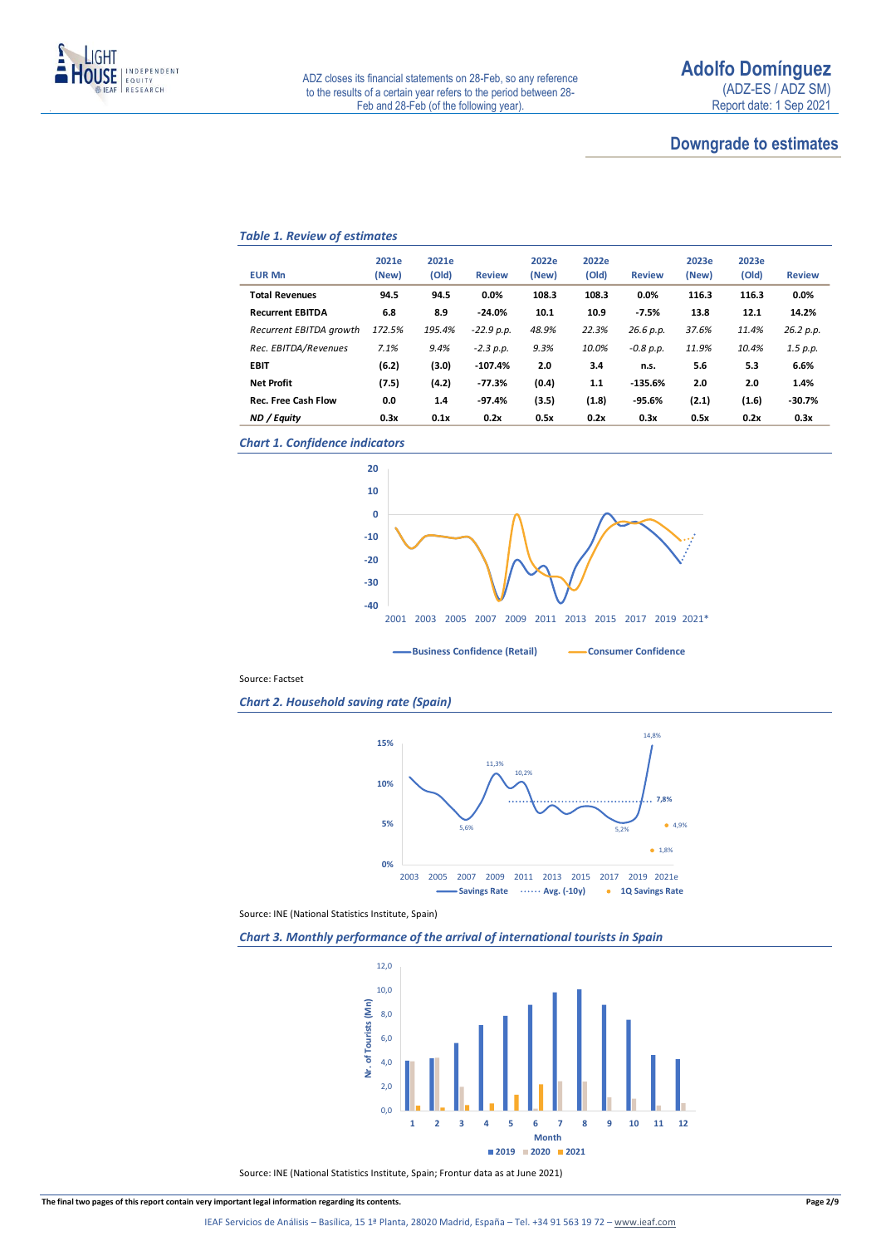

### **Downgrade to estimates**

### *Table 1. Review of estimates*

| <b>EUR Mn</b>              | 2021e<br>(New) | 2021e<br>(Old) | <b>Review</b> | 2022e<br>(New) | 2022e<br>(Old) | <b>Review</b> | 2023e<br>(New) | 2023e<br>(Old) | <b>Review</b> |
|----------------------------|----------------|----------------|---------------|----------------|----------------|---------------|----------------|----------------|---------------|
| <b>Total Revenues</b>      | 94.5           | 94.5           | 0.0%          | 108.3          | 108.3          | 0.0%          | 116.3          | 116.3          | 0.0%          |
| <b>Recurrent EBITDA</b>    | 6.8            | 8.9            | $-24.0%$      | 10.1           | 10.9           | $-7.5%$       | 13.8           | 12.1           | 14.2%         |
| Recurrent EBITDA growth    | 172.5%         | 195.4%         | $-22.9 p.p.$  | 48.9%          | 22.3%          | 26.6 p.p.     | 37.6%          | 11.4%          | 26.2 p.p.     |
| Rec. EBITDA/Revenues       | 7.1%           | 9.4%           | $-2.3 p.p.$   | 9.3%           | 10.0%          | $-0.8 p.p.$   | 11.9%          | 10.4%          | 1.5 p.p.      |
| <b>EBIT</b>                | (6.2)          | (3.0)          | $-107.4%$     | 2.0            | 3.4            | n.s.          | 5.6            | 5.3            | 6.6%          |
| <b>Net Profit</b>          | (7.5)          | (4.2)          | $-77.3%$      | (0.4)          | 1.1            | $-135.6%$     | 2.0            | 2.0            | 1.4%          |
| <b>Rec. Free Cash Flow</b> | 0.0            | 1.4            | $-97.4%$      | (3.5)          | (1.8)          | $-95.6%$      | (2.1)          | (1.6)          | $-30.7%$      |
| ND / Equity                | 0.3x           | 0.1x           | 0.2x          | 0.5x           | 0.2x           | 0.3x          | 0.5x           | 0.2x           | 0.3x          |

*Chart 1. Confidence indicators*



Source: Factset

*Chart 2. Household saving rate (Spain)*



Source: INE (National Statistics Institute, Spain)





Source: INE (National Statistics Institute, Spain; Frontur data as at June 2021)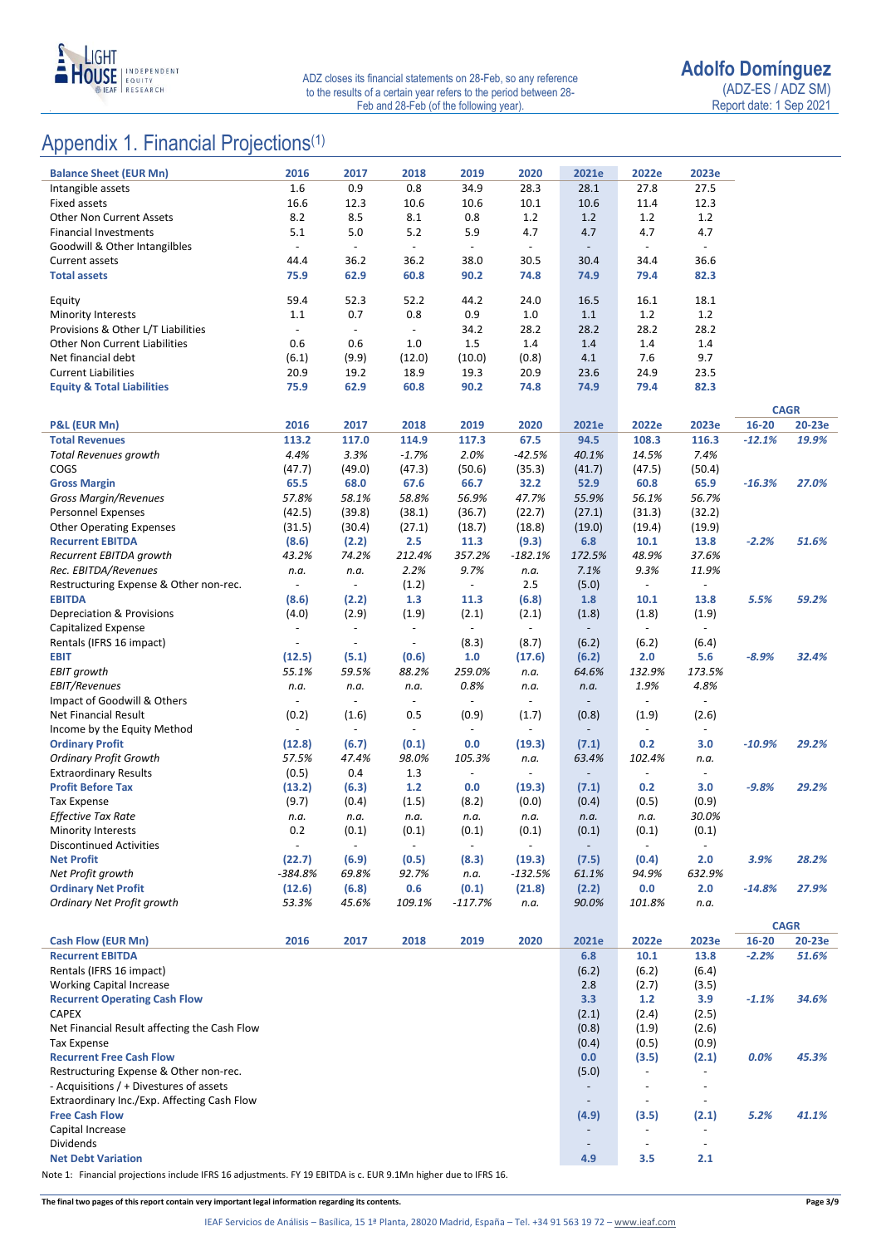

### Appendix 1. Financial Projections<sup>(1)</sup>

| <b>Balance Sheet (EUR Mn)</b>                                        | 2016                              | 2017                              | 2018                              | 2019                              | 2020                              | 2021e                             | 2022e                             | 2023e                             |          |                       |
|----------------------------------------------------------------------|-----------------------------------|-----------------------------------|-----------------------------------|-----------------------------------|-----------------------------------|-----------------------------------|-----------------------------------|-----------------------------------|----------|-----------------------|
| Intangible assets                                                    | 1.6                               | 0.9                               | 0.8                               | 34.9                              | 28.3                              | 28.1                              | 27.8                              | 27.5                              |          |                       |
| <b>Fixed assets</b>                                                  | 16.6                              | 12.3                              | 10.6                              | 10.6                              | 10.1                              | 10.6                              | 11.4                              | 12.3                              |          |                       |
| <b>Other Non Current Assets</b>                                      | 8.2                               | 8.5                               | 8.1                               | 0.8                               | 1.2                               | 1.2                               | 1.2                               | 1.2                               |          |                       |
| <b>Financial Investments</b><br>Goodwill & Other Intangilbles        | 5.1<br>$\Box$                     | 5.0<br>$\Box$                     | $5.2$<br>$\overline{\phantom{a}}$ | 5.9<br>$\overline{\phantom{a}}$   | 4.7<br>$\blacksquare$             | 4.7<br>$\overline{\phantom{a}}$   | 4.7<br>$\blacksquare$             | 4.7<br>$\blacksquare$             |          |                       |
| <b>Current assets</b>                                                | 44.4                              | 36.2                              | 36.2                              | 38.0                              | 30.5                              | 30.4                              | 34.4                              | 36.6                              |          |                       |
| <b>Total assets</b>                                                  | 75.9                              | 62.9                              | 60.8                              | 90.2                              | 74.8                              | 74.9                              | 79.4                              | 82.3                              |          |                       |
| Equity                                                               | 59.4                              | 52.3                              | 52.2                              | 44.2                              | 24.0                              | 16.5                              | 16.1                              | 18.1                              |          |                       |
| <b>Minority Interests</b>                                            | 1.1                               | 0.7                               | 0.8                               | 0.9                               | $1.0\,$                           | 1.1                               | 1.2                               | 1.2                               |          |                       |
| Provisions & Other L/T Liabilities                                   | $\overline{\phantom{a}}$          | $\blacksquare$                    | $\blacksquare$                    | 34.2                              | 28.2                              | 28.2                              | 28.2                              | 28.2                              |          |                       |
| <b>Other Non Current Liabilities</b>                                 | 0.6                               | 0.6                               | 1.0                               | 1.5                               | 1.4                               | 1.4                               | 1.4                               | 1.4                               |          |                       |
| Net financial debt                                                   | (6.1)                             | (9.9)                             | (12.0)                            | (10.0)                            | (0.8)                             | 4.1                               | 7.6                               | 9.7                               |          |                       |
| <b>Current Liabilities</b>                                           | 20.9                              | 19.2                              | 18.9                              | 19.3                              | 20.9                              | 23.6                              | 24.9                              | 23.5                              |          |                       |
| <b>Equity &amp; Total Liabilities</b>                                | 75.9                              | 62.9                              | 60.8                              | 90.2                              | 74.8                              | 74.9                              | 79.4                              | 82.3                              |          |                       |
| P&L (EUR Mn)                                                         | 2016                              | 2017                              | 2018                              | 2019                              | 2020                              | 2021e                             | 2022e                             | 2023e                             | 16-20    | <b>CAGR</b><br>20-23e |
| <b>Total Revenues</b>                                                | 113.2                             | 117.0                             | 114.9                             | 117.3                             | 67.5                              | 94.5                              | 108.3                             | 116.3                             | $-12.1%$ | 19.9%                 |
| Total Revenues growth                                                | 4.4%                              | 3.3%                              | $-1.7%$                           | 2.0%                              | $-42.5%$                          | 40.1%                             | 14.5%                             | 7.4%                              |          |                       |
| COGS                                                                 | (47.7)                            | (49.0)                            | (47.3)                            | (50.6)                            | (35.3)                            | (41.7)                            | (47.5)                            | (50.4)                            |          |                       |
| <b>Gross Margin</b>                                                  | 65.5                              | 68.0                              | 67.6                              | 66.7                              | 32.2                              | 52.9                              | 60.8                              | 65.9                              | $-16.3%$ | 27.0%                 |
| <b>Gross Margin/Revenues</b>                                         | 57.8%                             | 58.1%                             | 58.8%                             | 56.9%                             | 47.7%                             | 55.9%                             | 56.1%                             | 56.7%                             |          |                       |
| Personnel Expenses                                                   | (42.5)                            | (39.8)                            | (38.1)                            | (36.7)                            | (22.7)                            | (27.1)                            | (31.3)                            | (32.2)                            |          |                       |
| <b>Other Operating Expenses</b>                                      | (31.5)                            | (30.4)                            | (27.1)                            | (18.7)                            | (18.8)                            | (19.0)                            | (19.4)                            | (19.9)                            |          |                       |
| <b>Recurrent EBITDA</b>                                              | (8.6)                             | (2.2)                             | 2.5                               | 11.3                              | (9.3)                             | 6.8                               | 10.1                              | 13.8                              | $-2.2%$  | 51.6%                 |
| Recurrent EBITDA growth                                              | 43.2%                             | 74.2%                             | 212.4%                            | 357.2%                            | $-182.1%$                         | 172.5%                            | 48.9%                             | 37.6%                             |          |                       |
| Rec. EBITDA/Revenues                                                 | n.a.                              | n.a.                              | 2.2%                              | 9.7%                              | n.a.                              | 7.1%                              | 9.3%                              | 11.9%                             |          |                       |
| Restructuring Expense & Other non-rec.                               | $\overline{\phantom{a}}$          | $\blacksquare$                    | (1.2)                             | $\overline{\phantom{a}}$          | 2.5                               | (5.0)                             | $\sim$                            | $\overline{\phantom{a}}$          |          |                       |
| <b>EBITDA</b>                                                        | (8.6)                             | (2.2)                             | 1.3                               | 11.3                              | (6.8)                             | 1.8                               | 10.1                              | 13.8                              | 5.5%     | 59.2%                 |
| Depreciation & Provisions<br>Capitalized Expense                     | (4.0)<br>$\overline{\phantom{a}}$ | (2.9)<br>$\overline{\phantom{a}}$ | (1.9)<br>$\blacksquare$           | (2.1)<br>$\overline{\phantom{a}}$ | (2.1)<br>$\overline{\phantom{a}}$ | (1.8)<br>$\overline{\phantom{a}}$ | (1.8)<br>$\sim$                   | (1.9)<br>$\overline{\phantom{a}}$ |          |                       |
| Rentals (IFRS 16 impact)                                             | $\overline{\phantom{a}}$          | $\overline{\phantom{a}}$          | $\overline{\phantom{a}}$          | (8.3)                             | (8.7)                             | (6.2)                             | (6.2)                             | (6.4)                             |          |                       |
| <b>EBIT</b>                                                          | (12.5)                            | (5.1)                             | (0.6)                             | 1.0                               | (17.6)                            | (6.2)                             | 2.0                               | 5.6                               | $-8.9%$  | 32.4%                 |
| <b>EBIT growth</b>                                                   | 55.1%                             | 59.5%                             | 88.2%                             | 259.0%                            | n.a.                              | 64.6%                             | 132.9%                            | 173.5%                            |          |                       |
| <b>EBIT/Revenues</b>                                                 | n.a.                              | n.a.                              | n.a.                              | 0.8%                              | n.a.                              | n.a.                              | 1.9%                              | 4.8%                              |          |                       |
| Impact of Goodwill & Others                                          | $\overline{\phantom{a}}$          | $\overline{\phantom{a}}$          | $\overline{\phantom{a}}$          | $\overline{\phantom{a}}$          | $\overline{\phantom{a}}$          | $\overline{\phantom{a}}$          | $\overline{\phantom{a}}$          | $\overline{\phantom{a}}$          |          |                       |
| Net Financial Result                                                 | (0.2)                             | (1.6)                             | 0.5                               | (0.9)                             | (1.7)                             | (0.8)                             | (1.9)                             | (2.6)                             |          |                       |
| Income by the Equity Method                                          |                                   | $\overline{\phantom{a}}$          | $\overline{\phantom{a}}$          | $\overline{\phantom{a}}$          | $\overline{\phantom{a}}$          | $\overline{\phantom{a}}$          | $\overline{\phantom{a}}$          | $\overline{\phantom{a}}$          |          |                       |
| <b>Ordinary Profit</b>                                               | (12.8)                            | (6.7)                             | (0.1)                             | 0.0                               | (19.3)                            | (7.1)                             | 0.2                               | 3.0                               | $-10.9%$ | 29.2%                 |
| <b>Ordinary Profit Growth</b>                                        | 57.5%                             | 47.4%                             | 98.0%                             | 105.3%                            | n.a.                              | 63.4%                             | 102.4%                            | n.a.                              |          |                       |
| <b>Extraordinary Results</b>                                         | (0.5)                             | 0.4                               | 1.3                               | $\overline{\phantom{a}}$          | $\overline{\phantom{a}}$          |                                   | $\overline{a}$                    | $\blacksquare$                    |          |                       |
| <b>Profit Before Tax</b>                                             | (13.2)                            | (6.3)                             | $1.2$                             | 0.0                               | (19.3)                            | (7.1)                             | 0.2                               | 3.0                               | $-9.8%$  | 29.2%                 |
| <b>Tax Expense</b>                                                   | (9.7)                             | (0.4)                             | (1.5)                             | (8.2)                             | (0.0)                             | (0.4)                             | (0.5)                             | (0.9)                             |          |                       |
| Effective Tax Rate                                                   | n.a.                              | n.a.                              | n.a.                              | n.a.                              | n.a.                              | n.a.                              | n.a.                              | 30.0%                             |          |                       |
| <b>Minority Interests</b>                                            | 0.2                               | (0.1)                             | (0.1)                             | (0.1)                             | (0.1)                             | (0.1)                             | (0.1)                             | (0.1)                             |          |                       |
| <b>Discontinued Activities</b><br><b>Net Profit</b>                  | (22.7)                            | (6.9)                             | (0.5)                             | (8.3)                             |                                   | (7.5)                             |                                   | 2.0                               | 3.9%     | 28.2%                 |
| Net Profit growth                                                    | -384.8%                           | 69.8%                             | 92.7%                             | n.a.                              | (19.3)<br>-132.5%                 | 61.1%                             | (0.4)<br>94.9%                    | 632.9%                            |          |                       |
| <b>Ordinary Net Profit</b>                                           | (12.6)                            | (6.8)                             | 0.6                               | (0.1)                             | (21.8)                            | (2.2)                             | 0.0                               | 2.0                               | $-14.8%$ | 27.9%                 |
| Ordinary Net Profit growth                                           | 53.3%                             | 45.6%                             | 109.1%                            | $-117.7%$                         | n.a.                              | 90.0%                             | 101.8%                            | n.a.                              |          |                       |
|                                                                      |                                   |                                   |                                   |                                   |                                   |                                   |                                   |                                   |          | <b>CAGR</b>           |
| <b>Cash Flow (EUR Mn)</b>                                            | 2016                              | 2017                              | 2018                              | 2019                              | 2020                              | 2021e                             | 2022e                             | 2023e                             | 16-20    | 20-23e                |
| <b>Recurrent EBITDA</b>                                              |                                   |                                   |                                   |                                   |                                   | 6.8                               | 10.1                              | 13.8                              | $-2.2%$  | 51.6%                 |
| Rentals (IFRS 16 impact)                                             |                                   |                                   |                                   |                                   |                                   | (6.2)                             | (6.2)                             | (6.4)                             |          |                       |
| <b>Working Capital Increase</b>                                      |                                   |                                   |                                   |                                   |                                   | 2.8                               | (2.7)                             | (3.5)                             |          |                       |
| <b>Recurrent Operating Cash Flow</b>                                 |                                   |                                   |                                   |                                   |                                   | 3.3                               | 1.2                               | 3.9                               | $-1.1%$  | 34.6%                 |
| <b>CAPEX</b>                                                         |                                   |                                   |                                   |                                   |                                   | (2.1)                             | (2.4)                             | (2.5)                             |          |                       |
| Net Financial Result affecting the Cash Flow                         |                                   |                                   |                                   |                                   |                                   | (0.8)                             | (1.9)                             | (2.6)                             |          |                       |
| <b>Tax Expense</b>                                                   |                                   |                                   |                                   |                                   |                                   | (0.4)                             | (0.5)                             | (0.9)                             |          |                       |
| <b>Recurrent Free Cash Flow</b>                                      |                                   |                                   |                                   |                                   |                                   | 0.0                               | (3.5)                             | (2.1)                             | 0.0%     | 45.3%                 |
| Restructuring Expense & Other non-rec.                               |                                   |                                   |                                   |                                   |                                   | (5.0)                             | $\overline{\phantom{a}}$          |                                   |          |                       |
| - Acquisitions / + Divestures of assets                              |                                   |                                   |                                   |                                   |                                   | $\overline{\phantom{a}}$          | $\overline{\phantom{a}}$          | $\overline{\phantom{a}}$          |          |                       |
| Extraordinary Inc./Exp. Affecting Cash Flow<br><b>Free Cash Flow</b> |                                   |                                   |                                   |                                   |                                   | $\overline{\phantom{a}}$          | $\overline{\phantom{a}}$<br>(3.5) | $\overline{\phantom{a}}$          | 5.2%     | 41.1%                 |
| Capital Increase                                                     |                                   |                                   |                                   |                                   |                                   | (4.9)<br>$\overline{\phantom{a}}$ | $\overline{\phantom{a}}$          | (2.1)<br>$\overline{\phantom{a}}$ |          |                       |
| Dividends                                                            |                                   |                                   |                                   |                                   |                                   | $\overline{\phantom{a}}$          | $\overline{\phantom{a}}$          | $\overline{\phantom{a}}$          |          |                       |
| <b>Net Debt Variation</b>                                            |                                   |                                   |                                   |                                   |                                   | 4.9                               | 3.5                               | 2.1                               |          |                       |
|                                                                      |                                   |                                   |                                   |                                   |                                   |                                   |                                   |                                   |          |                       |

Note 1: Financial projections include IFRS 16 adjustments. FY 19 EBITDA is c. EUR 9.1Mn higher due to IFRS 16.

**The final two pages of this report contain very important legal information regarding its contents. Page 3/9**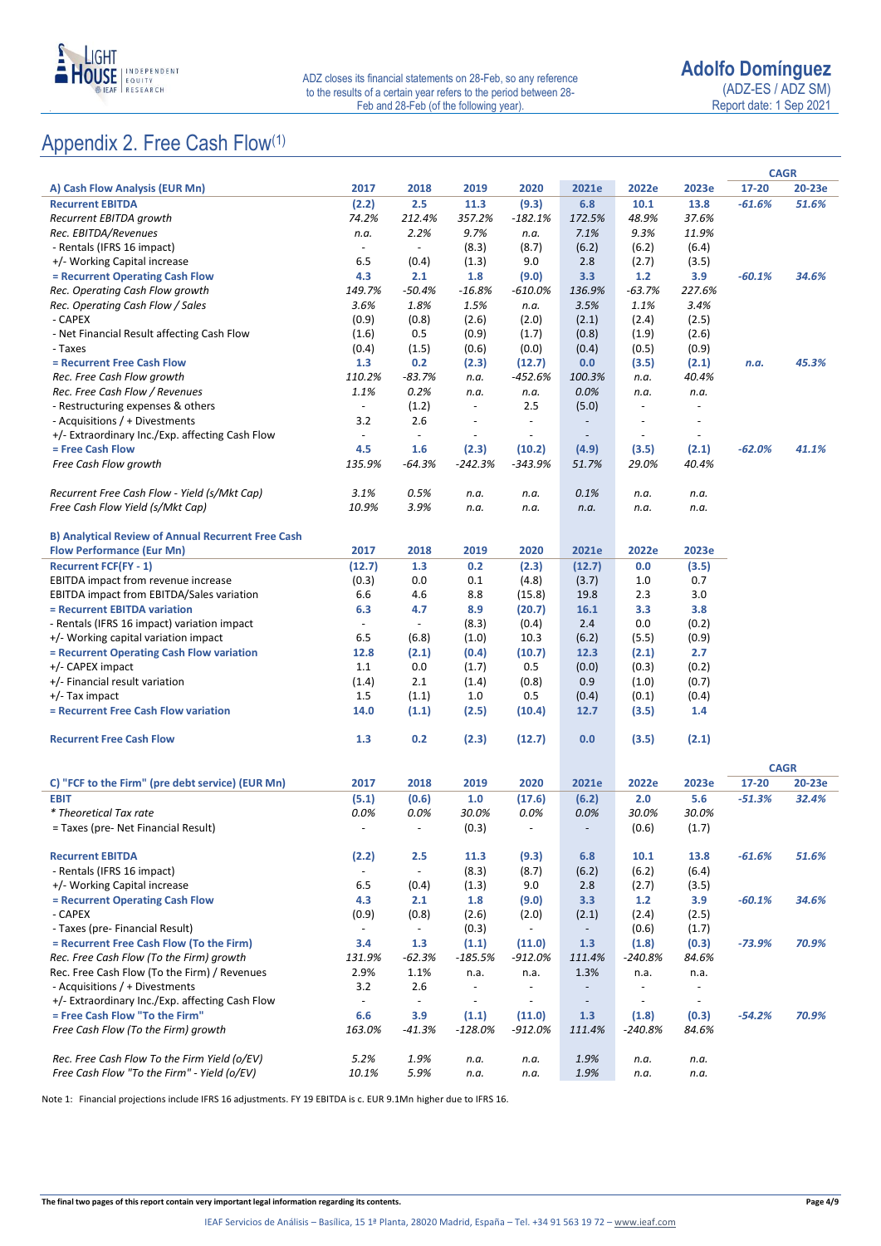

Report date: 1 Sep 2021

### Appendix 2. Free Cash Flow(1)

|                                                                                |                                 |                          |                                  |                                  |                                  |                                  |                          |          | <b>CAGR</b> |
|--------------------------------------------------------------------------------|---------------------------------|--------------------------|----------------------------------|----------------------------------|----------------------------------|----------------------------------|--------------------------|----------|-------------|
| A) Cash Flow Analysis (EUR Mn)                                                 | 2017                            | 2018                     | 2019                             | 2020                             | 2021e                            | 2022e                            | 2023e                    | 17-20    | 20-23e      |
| <b>Recurrent EBITDA</b>                                                        | (2.2)                           | 2.5                      | 11.3                             | (9.3)                            | 6.8                              | 10.1                             | 13.8                     | $-61.6%$ | 51.6%       |
| Recurrent EBITDA growth                                                        | 74.2%                           | 212.4%                   | 357.2%                           | $-182.1%$                        | 172.5%                           | 48.9%                            | 37.6%                    |          |             |
| Rec. EBITDA/Revenues                                                           | n.a.                            | 2.2%                     | 9.7%                             | n.a.                             | 7.1%                             | 9.3%                             | 11.9%                    |          |             |
| - Rentals (IFRS 16 impact)                                                     | $\overline{\phantom{a}}$        | $\overline{\phantom{a}}$ | (8.3)                            | (8.7)                            | (6.2)                            | (6.2)                            | (6.4)                    |          |             |
| +/- Working Capital increase                                                   | 6.5                             | (0.4)                    | (1.3)                            | 9.0                              | 2.8                              | (2.7)                            | (3.5)                    |          |             |
| = Recurrent Operating Cash Flow                                                | 4.3                             | 2.1                      | 1.8                              | (9.0)                            | 3.3                              | $1.2$                            | 3.9                      | $-60.1%$ | 34.6%       |
| Rec. Operating Cash Flow growth                                                | 149.7%                          | $-50.4%$                 | -16.8%                           | -610.0%                          | 136.9%                           | $-63.7%$                         | 227.6%                   |          |             |
| Rec. Operating Cash Flow / Sales                                               | 3.6%                            | 1.8%                     | 1.5%                             | n.a.                             | 3.5%                             | 1.1%                             | 3.4%                     |          |             |
| - CAPEX                                                                        | (0.9)                           | (0.8)                    | (2.6)                            | (2.0)                            | (2.1)                            | (2.4)                            | (2.5)                    |          |             |
| - Net Financial Result affecting Cash Flow                                     | (1.6)                           | 0.5                      | (0.9)                            | (1.7)                            | (0.8)                            | (1.9)                            | (2.6)                    |          |             |
| - Taxes                                                                        | (0.4)                           | (1.5)                    | (0.6)                            | (0.0)                            | (0.4)                            | (0.5)                            | (0.9)                    |          |             |
| = Recurrent Free Cash Flow                                                     | 1.3                             | 0.2                      | (2.3)                            | (12.7)                           | 0.0                              | (3.5)                            | (2.1)                    | n.a.     | 45.3%       |
| Rec. Free Cash Flow growth                                                     | 110.2%                          | $-83.7%$                 | n.a.                             | -452.6%                          | 100.3%                           | n.a.                             | 40.4%                    |          |             |
| Rec. Free Cash Flow / Revenues                                                 | 1.1%                            | 0.2%                     | n.a.                             | n.a.                             | 0.0%                             | n.a.                             | n.a.                     |          |             |
| - Restructuring expenses & others                                              | $\overline{\phantom{a}}$        | (1.2)                    | $\overline{\phantom{a}}$         | 2.5                              | (5.0)                            | $\overline{\phantom{a}}$         |                          |          |             |
| - Acquisitions / + Divestments                                                 | 3.2                             | 2.6                      | $\overline{\phantom{a}}$         | $\ddot{\phantom{a}}$             | $\overline{\phantom{a}}$         | $\overline{\phantom{a}}$         |                          |          |             |
| +/- Extraordinary Inc./Exp. affecting Cash Flow                                | $\overline{\phantom{a}}$        | $\overline{\phantom{a}}$ | $\overline{\phantom{a}}$         |                                  | $\overline{\phantom{a}}$         | $\overline{\phantom{a}}$         |                          |          |             |
| = Free Cash Flow                                                               | 4.5                             | 1.6                      | (2.3)                            | (10.2)                           | (4.9)                            | (3.5)                            | (2.1)                    | $-62.0%$ | 41.1%       |
| Free Cash Flow growth                                                          | 135.9%                          | $-64.3%$                 | -242.3%                          | $-343.9%$                        | 51.7%                            | 29.0%                            | 40.4%                    |          |             |
| Recurrent Free Cash Flow - Yield (s/Mkt Cap)                                   | 3.1%                            | 0.5%                     |                                  |                                  | 0.1%                             |                                  |                          |          |             |
|                                                                                | 10.9%                           | 3.9%                     | n.a.                             | n.a.                             |                                  | n.a.                             | n.a.                     |          |             |
| Free Cash Flow Yield (s/Mkt Cap)                                               |                                 |                          | n.a.                             | n.a.                             | n.a.                             | n.a.                             | n.a.                     |          |             |
| <b>B) Analytical Review of Annual Recurrent Free Cash</b>                      |                                 |                          |                                  |                                  |                                  |                                  |                          |          |             |
| <b>Flow Performance (Eur Mn)</b>                                               | 2017                            | 2018                     | 2019                             | 2020                             | 2021e                            | 2022e                            | 2023e                    |          |             |
| <b>Recurrent FCF(FY - 1)</b>                                                   | (12.7)                          | 1.3                      | 0.2                              | (2.3)                            | (12.7)                           | 0.0                              | (3.5)                    |          |             |
| EBITDA impact from revenue increase                                            | (0.3)                           | 0.0                      | 0.1                              | (4.8)                            | (3.7)                            | 1.0                              | 0.7                      |          |             |
| EBITDA impact from EBITDA/Sales variation                                      | 6.6                             | 4.6                      | 8.8                              | (15.8)                           | 19.8                             | 2.3                              | 3.0                      |          |             |
| = Recurrent EBITDA variation                                                   | 6.3                             | 4.7                      | 8.9                              | (20.7)                           | 16.1                             | 3.3                              | 3.8                      |          |             |
| - Rentals (IFRS 16 impact) variation impact                                    | $\overline{\phantom{a}}$        | $\overline{\phantom{a}}$ | (8.3)                            | (0.4)                            | 2.4                              | 0.0                              | (0.2)                    |          |             |
| +/- Working capital variation impact                                           | 6.5                             | (6.8)                    | (1.0)                            | 10.3                             | (6.2)                            | (5.5)                            | (0.9)                    |          |             |
| = Recurrent Operating Cash Flow variation                                      | 12.8                            | (2.1)                    | (0.4)                            | (10.7)                           | 12.3                             | (2.1)                            | 2.7                      |          |             |
| +/- CAPEX impact                                                               | 1.1                             | 0.0                      | (1.7)                            | 0.5                              | (0.0)                            | (0.3)                            | (0.2)                    |          |             |
| +/- Financial result variation                                                 | (1.4)                           | 2.1                      | (1.4)                            | (0.8)                            | 0.9                              | (1.0)                            | (0.7)                    |          |             |
| $+/-$ Tax impact                                                               | 1.5                             | (1.1)                    | 1.0                              | 0.5                              | (0.4)                            | (0.1)                            | (0.4)                    |          |             |
| = Recurrent Free Cash Flow variation                                           | 14.0                            | (1.1)                    | (2.5)                            | (10.4)                           | 12.7                             | (3.5)                            | 1.4                      |          |             |
|                                                                                |                                 |                          |                                  |                                  |                                  |                                  |                          |          |             |
| <b>Recurrent Free Cash Flow</b>                                                | 1.3                             | 0.2                      | (2.3)                            | (12.7)                           | 0.0                              | (3.5)                            | (2.1)                    |          |             |
|                                                                                |                                 |                          |                                  |                                  |                                  |                                  |                          |          | <b>CAGR</b> |
| C) "FCF to the Firm" (pre debt service) (EUR Mn)                               | 2017                            | 2018                     | 2019                             | 2020                             | 2021e                            | 2022e                            | 2023e                    | 17-20    | 20-23e      |
| <b>EBIT</b>                                                                    | (5.1)                           | (0.6)                    | 1.0                              | (17.6)                           | (6.2)                            | 2.0                              | 5.6                      | $-51.3%$ | 32.4%       |
| * Theoretical Tax rate                                                         | 0.0%                            | 0.0%                     | 30.0%                            | 0.0%                             | 0.0%                             | 30.0%                            | 30.0%                    |          |             |
| = Taxes (pre- Net Financial Result)                                            | $\overline{\phantom{a}}$        | $\sim$                   | (0.3)                            | $\overline{\phantom{a}}$         | $\overline{\phantom{a}}$         | (0.6)                            | (1.7)                    |          |             |
|                                                                                |                                 |                          |                                  |                                  |                                  |                                  |                          |          |             |
| <b>Recurrent EBITDA</b>                                                        | (2.2)                           | 2.5                      | 11.3                             | (9.3)                            | 6.8                              | 10.1                             | 13.8                     | $-61.6%$ | 51.6%       |
| - Rentals (IFRS 16 impact)                                                     | $\overline{\phantom{a}}$        | $\overline{\phantom{a}}$ | (8.3)                            | (8.7)                            | (6.2)                            | (6.2)                            | (6.4)                    |          |             |
| +/- Working Capital increase                                                   | 6.5                             | (0.4)                    | (1.3)                            | 9.0                              | 2.8                              | (2.7)                            | (3.5)                    |          |             |
| = Recurrent Operating Cash Flow                                                | 4.3                             | 2.1                      | 1.8                              | (9.0)                            | 3.3                              | $1.2$                            | 3.9                      | $-60.1%$ | 34.6%       |
| - CAPEX                                                                        | (0.9)                           | (0.8)                    | (2.6)                            | (2.0)                            | (2.1)                            | (2.4)                            | (2.5)                    |          |             |
| - Taxes (pre- Financial Result)                                                | $\overline{\phantom{a}}$        | $\blacksquare$           | (0.3)                            | $\blacksquare$                   | $\overline{\phantom{a}}$         | (0.6)                            | (1.7)                    |          |             |
| = Recurrent Free Cash Flow (To the Firm)                                       | 3.4                             | 1.3                      | (1.1)                            | (11.0)                           | 1.3                              | (1.8)                            | (0.3)                    | $-73.9%$ | 70.9%       |
| Rec. Free Cash Flow (To the Firm) growth                                       | 131.9%                          | $-62.3%$                 | -185.5%                          | -912.0%                          | 111.4%                           | -240.8%                          | 84.6%                    |          |             |
| Rec. Free Cash Flow (To the Firm) / Revenues<br>- Acquisitions / + Divestments | 2.9%                            | 1.1%<br>2.6              | n.a.<br>$\overline{\phantom{a}}$ | n.a.<br>$\overline{\phantom{a}}$ | 1.3%<br>$\overline{\phantom{a}}$ | n.a.<br>$\overline{\phantom{a}}$ | n.a.<br>$\blacksquare$   |          |             |
| +/- Extraordinary Inc./Exp. affecting Cash Flow                                | 3.2<br>$\overline{\phantom{a}}$ | $\overline{\phantom{a}}$ | $\overline{\phantom{a}}$         | $\overline{\phantom{a}}$         | $\overline{\phantom{a}}$         | $\overline{\phantom{a}}$         | $\overline{\phantom{a}}$ |          |             |
| = Free Cash Flow "To the Firm"                                                 | 6.6                             | 3.9                      | (1.1)                            | (11.0)                           | 1.3                              | (1.8)                            | (0.3)                    | $-54.2%$ | 70.9%       |
| Free Cash Flow (To the Firm) growth                                            | 163.0%                          | -41.3%                   | -128.0%                          | $-912.0%$                        | 111.4%                           | $-240.8%$                        | 84.6%                    |          |             |
|                                                                                |                                 |                          |                                  |                                  |                                  |                                  |                          |          |             |
| Rec. Free Cash Flow To the Firm Yield (o/EV)                                   | 5.2%                            | 1.9%                     | n.a.                             | n.a.                             | 1.9%                             | n.a.                             | n.a.                     |          |             |
| Free Cash Flow "To the Firm" - Yield (o/EV)                                    | 10.1%                           | 5.9%                     | n.a.                             | n.a.                             | 1.9%                             | n.a.                             | n.a.                     |          |             |

Note 1: Financial projections include IFRS 16 adjustments. FY 19 EBITDA is c. EUR 9.1Mn higher due to IFRS 16.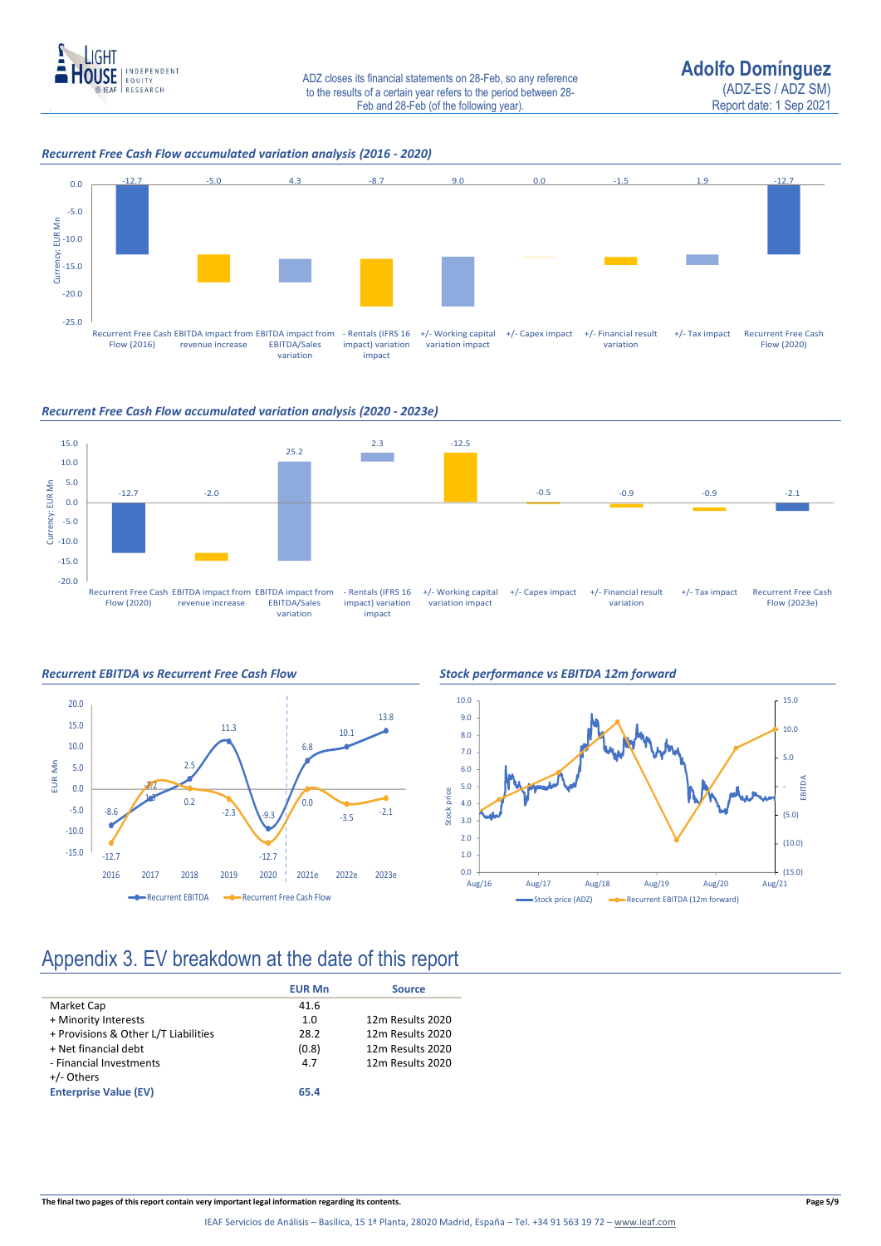

### *Recurrent Free Cash Flow accumulated variation analysis (2016 - 2020)*



#### *Recurrent Free Cash Flow accumulated variation analysis (2020 - 2023e)*







### Appendix 3. EV breakdown at the date of this report

| 12m Results 2020 |
|------------------|
| 12m Results 2020 |
| 12m Results 2020 |
| 12m Results 2020 |
|                  |
|                  |
|                  |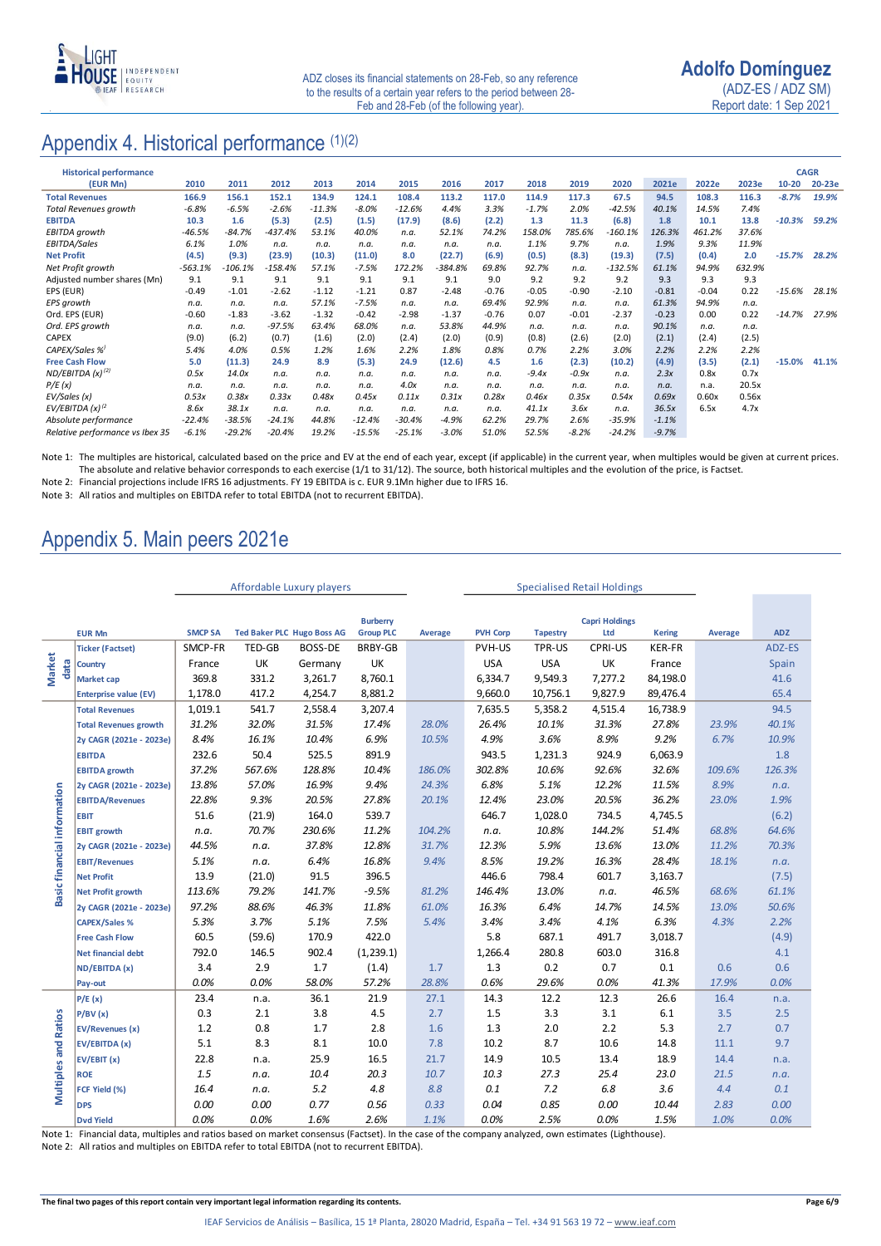

Report date: 1 Sep 2021

### Appendix 4. Historical performance (1)(2)

| <b>Historical performance</b>   |           |          |           |          |          |          |           |         |         |         |           |         |         |        |           | <b>CAGR</b> |
|---------------------------------|-----------|----------|-----------|----------|----------|----------|-----------|---------|---------|---------|-----------|---------|---------|--------|-----------|-------------|
| (EUR Mn)                        | 2010      | 2011     | 2012      | 2013     | 2014     | 2015     | 2016      | 2017    | 2018    | 2019    | 2020      | 2021e   | 2022e   | 2023e  | $10 - 20$ | 20-23e      |
| <b>Total Revenues</b>           | 166.9     | 156.1    | 152.1     | 134.9    | 124.1    | 108.4    | 113.2     | 117.0   | 114.9   | 117.3   | 67.5      | 94.5    | 108.3   | 116.3  | $-8.7%$   | 19.9%       |
| <b>Total Revenues growth</b>    | $-6.8%$   | $-6.5%$  | $-2.6%$   | $-11.3%$ | $-8.0%$  | $-12.6%$ | 4.4%      | 3.3%    | $-1.7%$ | 2.0%    | -42.5%    | 40.1%   | 14.5%   | 7.4%   |           |             |
| <b>EBITDA</b>                   | 10.3      | 1.6      | (5.3)     | (2.5)    | (1.5)    | (17.9)   | (8.6)     | (2.2)   | 1.3     | 11.3    | (6.8)     | 1.8     | 10.1    | 13.8   | $-10.3%$  | 59.2%       |
| EBITDA growth                   | $-46.5%$  | $-84.7%$ | $-437.4%$ | 53.1%    | 40.0%    | n.a.     | 52.1%     | 74.2%   | 158.0%  | 785.6%  | -160.1%   | 126.3%  | 461.2%  | 37.6%  |           |             |
| EBITDA/Sales                    | 6.1%      | 1.0%     | n.a.      | n.a.     | n.a.     | n.a.     | n.a.      | n.a.    | 1.1%    | 9.7%    | n.a.      | 1.9%    | 9.3%    | 11.9%  |           |             |
| <b>Net Profit</b>               | (4.5)     | (9.3)    | (23.9)    | (10.3)   | (11.0)   | 8.0      | (22.7)    | (6.9)   | (0.5)   | (8.3)   | (19.3)    | (7.5)   | (0.4)   | 2.0    | $-15.7%$  | 28.2%       |
| Net Profit growth               | $-563.1%$ | -106.1%  | $-158.4%$ | 57.1%    | $-7.5%$  | 172.2%   | $-384.8%$ | 69.8%   | 92.7%   | n.a.    | $-132.5%$ | 61.1%   | 94.9%   | 632.9% |           |             |
| Adjusted number shares (Mn)     | 9.1       | 9.1      | 9.1       | 9.1      | 9.1      | 9.1      | 9.1       | 9.0     | 9.2     | 9.2     | 9.2       | 9.3     | 9.3     | 9.3    |           |             |
| EPS (EUR)                       | $-0.49$   | $-1.01$  | $-2.62$   | $-1.12$  | $-1.21$  | 0.87     | $-2.48$   | $-0.76$ | $-0.05$ | $-0.90$ | $-2.10$   | $-0.81$ | $-0.04$ | 0.22   | -15.6%    | 28.1%       |
| <b>EPS</b> growth               | n.a.      | n.a.     | n.a.      | 57.1%    | $-7.5%$  | n.a.     | n.a.      | 69.4%   | 92.9%   | n.a.    | n.a.      | 61.3%   | 94.9%   | n.a.   |           |             |
| Ord. EPS (EUR)                  | $-0.60$   | $-1.83$  | $-3.62$   | $-1.32$  | $-0.42$  | $-2.98$  | $-1.37$   | $-0.76$ | 0.07    | $-0.01$ | $-2.37$   | $-0.23$ | 0.00    | 0.22   | $-14.7%$  | 27.9%       |
| Ord. EPS growth                 | n.a.      | n.a.     | $-97.5%$  | 63.4%    | 68.0%    | n.a.     | 53.8%     | 44.9%   | n.a.    | n.a.    | n.a.      | 90.1%   | n.a.    | n.a.   |           |             |
| <b>CAPEX</b>                    | (9.0)     | (6.2)    | (0.7)     | (1.6)    | (2.0)    | (2.4)    | (2.0)     | (0.9)   | (0.8)   | (2.6)   | (2.0)     | (2.1)   | (2.4)   | (2.5)  |           |             |
| CAPEX/Sales %                   | 5.4%      | 4.0%     | 0.5%      | 1.2%     | 1.6%     | 2.2%     | 1.8%      | 0.8%    | 0.7%    | 2.2%    | 3.0%      | 2.2%    | 2.2%    | 2.2%   |           |             |
| <b>Free Cash Flow</b>           | 5.0       | (11.3)   | 24.9      | 8.9      | (5.3)    | 24.9     | (12.6)    | 4.5     | 1.6     | (2.3)   | (10.2)    | (4.9)   | (3.5)   | (2.1)  | $-15.0%$  | 41.1%       |
| ND/EBITDA $(x)^{(2)}$           | 0.5x      | 14.0x    | n.a.      | n.a.     | n.a.     | n.a.     | n.a.      | n.a.    | $-9.4x$ | $-0.9x$ | n.a.      | 2.3x    | 0.8x    | 0.7x   |           |             |
| P/E(x)                          | n.a.      | n.a.     | n.a.      | n.a.     | n.a.     | 4.0x     | n.a.      | n.a.    | n.a.    | n.a.    | n.a.      | n.a.    | n.a.    | 20.5x  |           |             |
| EV/Sales (x)                    | 0.53x     | 0.38x    | 0.33x     | 0.48x    | 0.45x    | 0.11x    | 0.31x     | 0.28x   | 0.46x   | 0.35x   | 0.54x     | 0.69x   | 0.60x   | 0.56x  |           |             |
| EV/EBITDA (x) <sup>(2</sup>     | 8.6x      | 38.1x    | n.a.      | n.a.     | n.a.     | n.a.     | n.a.      | n.a.    | 41.1x   | 3.6x    | n.a.      | 36.5x   | 6.5x    | 4.7x   |           |             |
| Absolute performance            | $-22.4%$  | $-38.5%$ | $-24.1%$  | 44.8%    | $-12.4%$ | $-30.4%$ | $-4.9%$   | 62.2%   | 29.7%   | 2.6%    | $-35.9%$  | $-1.1%$ |         |        |           |             |
| Relative performance vs Ibex 35 | $-6.1%$   | $-29.2%$ | $-20.4%$  | 19.2%    | $-15.5%$ | $-25.1%$ | $-3.0%$   | 51.0%   | 52.5%   | $-8.2%$ | $-24.2%$  | $-9.7%$ |         |        |           |             |

Note 1: The multiples are historical, calculated based on the price and EV at the end of each year, except (if applicable) in the current year, when multiples would be given at current prices. The absolute and relative behavior corresponds to each exercise (1/1 to 31/12). The source, both historical multiples and the evolution of the price, is Factset.

Note 2: Financial projections include IFRS 16 adjustments. FY 19 EBITDA is c. EUR 9.1Mn higher due to IFRS 16.

Note 3: All ratios and multiples on EBITDA refer to total EBITDA (not to recurrent EBITDA).

### Appendix 5. Main peers 2021e

|                             |                                                                                                                                                    |                |               | Affordable Luxury players         |                  |         |                 | <b>Specialised Retail Holdings</b> |                       |               |         |            |
|-----------------------------|----------------------------------------------------------------------------------------------------------------------------------------------------|----------------|---------------|-----------------------------------|------------------|---------|-----------------|------------------------------------|-----------------------|---------------|---------|------------|
|                             |                                                                                                                                                    |                |               |                                   |                  |         |                 |                                    |                       |               |         |            |
|                             |                                                                                                                                                    |                |               |                                   | <b>Burberry</b>  |         |                 |                                    | <b>Capri Holdings</b> |               |         |            |
|                             | <b>EUR Mn</b>                                                                                                                                      | <b>SMCP SA</b> |               | <b>Ted Baker PLC Hugo Boss AG</b> | <b>Group PLC</b> | Average | <b>PVH Corp</b> | <b>Tapestry</b>                    | Ltd                   | <b>Kering</b> | Average | <b>ADZ</b> |
|                             | <b>Ticker (Factset)</b>                                                                                                                            | SMCP-FR        | <b>TED-GB</b> | <b>BOSS-DE</b>                    | <b>BRBY-GB</b>   |         | PVH-US          | TPR-US                             | <b>CPRI-US</b>        | KER-FR        |         | ADZ-ES     |
| <b>Market</b><br>data       | Country                                                                                                                                            | France         | UK            | Germany                           | UK               |         | <b>USA</b>      | <b>USA</b>                         | UK                    | France        |         | Spain      |
|                             | <b>Market cap</b>                                                                                                                                  | 369.8          | 331.2         | 3,261.7                           | 8,760.1          |         | 6,334.7         | 9,549.3                            | 7,277.2               | 84,198.0      |         | 41.6       |
|                             | <b>Enterprise value (EV)</b>                                                                                                                       | 1,178.0        | 417.2         | 4,254.7                           | 8,881.2          |         | 9,660.0         | 10,756.1                           | 9,827.9               | 89,476.4      |         | 65.4       |
|                             | <b>Total Revenues</b>                                                                                                                              | 1,019.1        | 541.7         | 2,558.4                           | 3,207.4          |         | 7,635.5         | 5,358.2                            | 4,515.4               | 16,738.9      |         | 94.5       |
|                             | <b>Total Revenues growth</b>                                                                                                                       | 31.2%          | 32.0%         | 31.5%                             | 17.4%            | 28.0%   | 26.4%           | 10.1%                              | 31.3%                 | 27.8%         | 23.9%   | 40.1%      |
|                             | 2y CAGR (2021e - 2023e)                                                                                                                            | 8.4%           | 16.1%         | 10.4%                             | 6.9%             | 10.5%   | 4.9%            | 3.6%                               | 8.9%                  | 9.2%          | 6.7%    | 10.9%      |
|                             | <b>EBITDA</b>                                                                                                                                      | 232.6          | 50.4          | 525.5                             | 891.9            |         | 943.5           | 1,231.3                            | 924.9                 | 6,063.9       |         | 1.8        |
|                             | <b>EBITDA growth</b>                                                                                                                               | 37.2%          | 567.6%        | 128.8%                            | 10.4%            | 186.0%  | 302.8%          | 10.6%                              | 92.6%                 | 32.6%         | 109.6%  | 126.3%     |
|                             | 2y CAGR (2021e - 2023e)                                                                                                                            | 13.8%          | 57.0%         | 16.9%                             | 9.4%             | 24.3%   | 6.8%            | 5.1%                               | 12.2%                 | 11.5%         | 8.9%    | n.a.       |
|                             | <b>EBITDA/Revenues</b>                                                                                                                             | 22.8%          | 9.3%          | 20.5%                             | 27.8%            | 20.1%   | 12.4%           | 23.0%                              | 20.5%                 | 36.2%         | 23.0%   | 1.9%       |
|                             | <b>EBIT</b>                                                                                                                                        | 51.6           | (21.9)        | 164.0                             | 539.7            |         | 646.7           | 1,028.0                            | 734.5                 | 4,745.5       |         | (6.2)      |
|                             | <b>EBIT growth</b>                                                                                                                                 | n.a.           | 70.7%         | 230.6%                            | 11.2%            | 104.2%  | n.a.            | 10.8%                              | 144.2%                | 51.4%         | 68.8%   | 64.6%      |
|                             | 2y CAGR (2021e - 2023e)                                                                                                                            | 44.5%          | n.a.          | 37.8%                             | 12.8%            | 31.7%   | 12.3%           | 5.9%                               | 13.6%                 | 13.0%         | 11.2%   | 70.3%      |
|                             | <b>EBIT/Revenues</b>                                                                                                                               | 5.1%           | n.a.          | 6.4%                              | 16.8%            | 9.4%    | 8.5%            | 19.2%                              | 16.3%                 | 28.4%         | 18.1%   | n.a.       |
| Basic financial information | <b>Net Profit</b>                                                                                                                                  | 13.9           | (21.0)        | 91.5                              | 396.5            |         | 446.6           | 798.4                              | 601.7                 | 3,163.7       |         | (7.5)      |
|                             | <b>Net Profit growth</b>                                                                                                                           | 113.6%         | 79.2%         | 141.7%                            | $-9.5%$          | 81.2%   | 146.4%          | 13.0%                              | n.a.                  | 46.5%         | 68.6%   | 61.1%      |
|                             | 2y CAGR (2021e - 2023e)                                                                                                                            | 97.2%          | 88.6%         | 46.3%                             | 11.8%            | 61.0%   | 16.3%           | 6.4%                               | 14.7%                 | 14.5%         | 13.0%   | 50.6%      |
|                             | <b>CAPEX/Sales %</b>                                                                                                                               | 5.3%           | 3.7%          | 5.1%                              | 7.5%             | 5.4%    | 3.4%            | 3.4%                               | 4.1%                  | 6.3%          | 4.3%    | 2.2%       |
|                             | <b>Free Cash Flow</b>                                                                                                                              | 60.5           | (59.6)        | 170.9                             | 422.0            |         | 5.8             | 687.1                              | 491.7                 | 3,018.7       |         | (4.9)      |
|                             | <b>Net financial debt</b>                                                                                                                          | 792.0          | 146.5         | 902.4                             | (1,239.1)        |         | 1,266.4         | 280.8                              | 603.0                 | 316.8         |         | 4.1        |
|                             | ND/EBITDA (x)                                                                                                                                      | 3.4            | 2.9           | 1.7                               | (1.4)            | 1.7     | 1.3             | 0.2                                | 0.7                   | 0.1           | 0.6     | 0.6        |
|                             | Pay-out                                                                                                                                            | 0.0%           | 0.0%          | 58.0%                             | 57.2%            | 28.8%   | 0.6%            | 29.6%                              | 0.0%                  | 41.3%         | 17.9%   | 0.0%       |
|                             | P/E(x)                                                                                                                                             | 23.4           | n.a.          | 36.1                              | 21.9             | 27.1    | 14.3            | 12.2                               | 12.3                  | 26.6          | 16.4    | n.a.       |
|                             | P/BV(x)                                                                                                                                            | 0.3            | 2.1           | 3.8                               | 4.5              | 2.7     | 1.5             | 3.3                                | 3.1                   | 6.1           | 3.5     | 2.5        |
| <b>Multiples and Ratios</b> | <b>EV/Revenues (x)</b>                                                                                                                             | 1.2            | 0.8           | 1.7                               | 2.8              | 1.6     | 1.3             | 2.0                                | 2.2                   | 5.3           | 2.7     | 0.7        |
|                             | EV/EBITDA (x)                                                                                                                                      | 5.1            | 8.3           | 8.1                               | 10.0             | 7.8     | 10.2            | 8.7                                | 10.6                  | 14.8          | 11.1    | 9.7        |
|                             | EV/EBIT (x)                                                                                                                                        | 22.8           | n.a.          | 25.9                              | 16.5             | 21.7    | 14.9            | 10.5                               | 13.4                  | 18.9          | 14.4    | n.a.       |
|                             | <b>ROE</b>                                                                                                                                         | 1.5            | n.a.          | 10.4                              | 20.3             | 10.7    | 10.3            | 27.3                               | 25.4                  | 23.0          | 21.5    | n.a.       |
|                             | FCF Yield (%)                                                                                                                                      | 16.4           | n.a.          | 5.2                               | 4.8              | 8.8     | 0.1             | 7.2                                | 6.8                   | 3.6           | 4.4     | 0.1        |
|                             | <b>DPS</b>                                                                                                                                         | 0.00           | 0.00          | 0.77                              | 0.56             | 0.33    | 0.04            | 0.85                               | 0.00                  | 10.44         | 2.83    | 0.00       |
|                             | <b>Dvd Yield</b>                                                                                                                                   | 0.0%           | 0.0%          | 1.6%                              | 2.6%             | 1.1%    | 0.0%            | 2.5%                               | 0.0%                  | 1.5%          | 1.0%    | 0.0%       |
|                             | Note 1: Financial data, multiples and ratios based on market consensus (Factset). In the case of the company analyzed, own estimates (Lighthouse). |                |               |                                   |                  |         |                 |                                    |                       |               |         |            |
|                             | Note 2: All ratios and multiples on EBITDA refer to total EBITDA (not to recurrent EBITDA).                                                        |                |               |                                   |                  |         |                 |                                    |                       |               |         |            |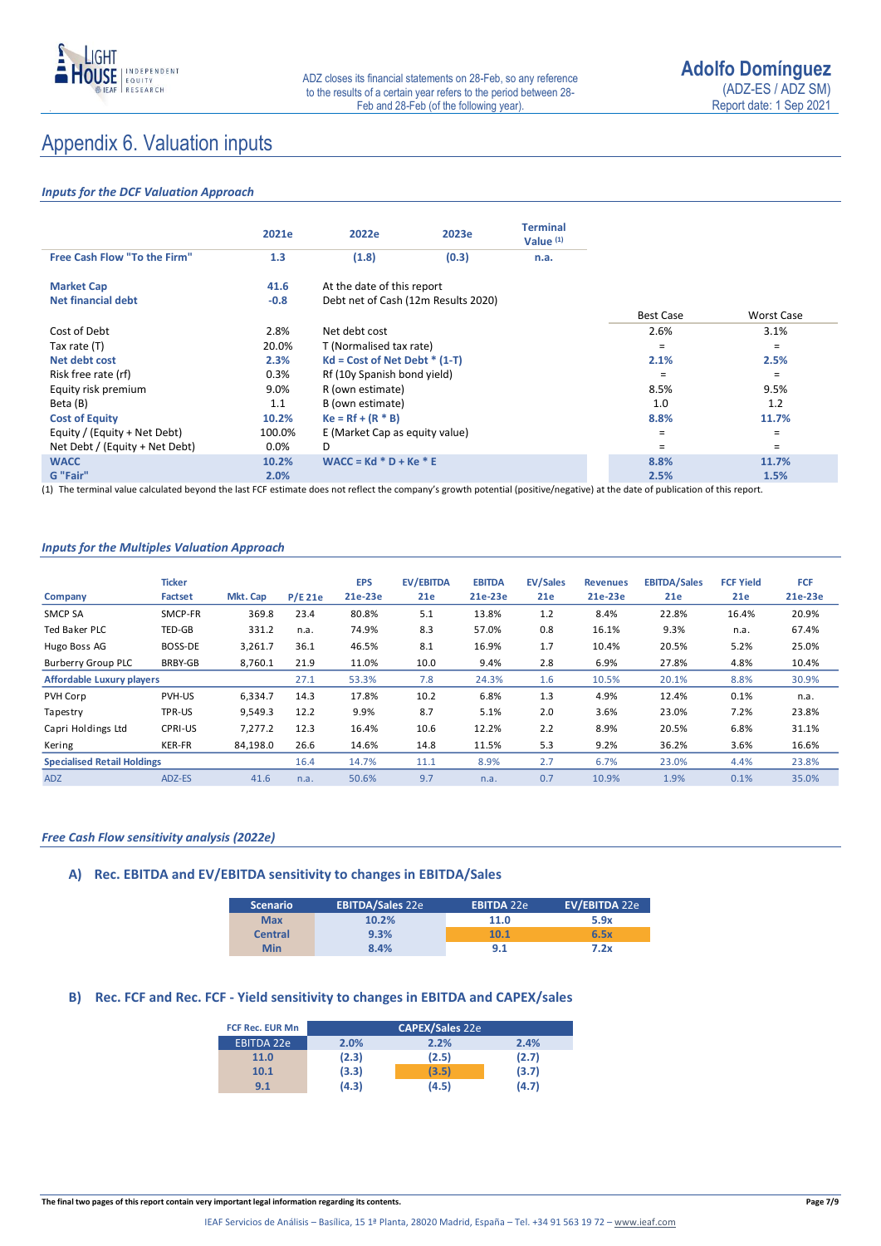

### Appendix 6. Valuation inputs

### *Inputs for the DCF Valuation Approach*

|                                | 2021e  | 2022e                               | 2023e | <b>Terminal</b><br>Value $(1)$ |                  |            |
|--------------------------------|--------|-------------------------------------|-------|--------------------------------|------------------|------------|
| Free Cash Flow "To the Firm"   | 1.3    | (1.8)                               | (0.3) | n.a.                           |                  |            |
| <b>Market Cap</b>              | 41.6   | At the date of this report          |       |                                |                  |            |
| Net financial debt             | $-0.8$ | Debt net of Cash (12m Results 2020) |       |                                |                  |            |
|                                |        |                                     |       |                                | <b>Best Case</b> | Worst Case |
| Cost of Debt                   | 2.8%   | Net debt cost                       |       |                                | 2.6%             | 3.1%       |
| Tax rate (T)                   | 20.0%  | T (Normalised tax rate)             |       |                                | $=$              | $=$        |
| Net debt cost                  | 2.3%   | $Kd = Cost of Net Det * (1-T)$      |       |                                | 2.1%             | 2.5%       |
| Risk free rate (rf)            | 0.3%   | Rf (10y Spanish bond yield)         |       |                                | Ξ                | $=$        |
| Equity risk premium            | 9.0%   | R (own estimate)                    |       |                                | 8.5%             | 9.5%       |
| Beta (B)                       | 1.1    | B (own estimate)                    |       |                                | 1.0              | 1.2        |
| <b>Cost of Equity</b>          | 10.2%  | $Ke = Rf + (R * B)$                 |       |                                | 8.8%             | 11.7%      |
| Equity / (Equity + Net Debt)   | 100.0% | E (Market Cap as equity value)      |       |                                | Ξ                | $\equiv$   |
| Net Debt / (Equity + Net Debt) | 0.0%   | D                                   |       |                                | =                | $=$        |
| <b>WACC</b>                    | 10.2%  | $WACC = Kd * D + Ke * E$            |       |                                | 8.8%             | 11.7%      |
| G "Fair"                       | 2.0%   |                                     |       |                                | 2.5%             | 1.5%       |

(1) The terminal value calculated beyond the last FCF estimate does not reflect the company's growth potential (positive/negative) at the date of publication of this report.

#### *Inputs for the Multiples Valuation Approach*

|                                    | <b>Ticker</b> |          |           | <b>EPS</b> | <b>EV/EBITDA</b> | <b>EBITDA</b> | <b>EV/Sales</b> | <b>Revenues</b> | <b>EBITDA/Sales</b> | <b>FCF Yield</b> | <b>FCF</b> |
|------------------------------------|---------------|----------|-----------|------------|------------------|---------------|-----------------|-----------------|---------------------|------------------|------------|
| Company                            | Factset       | Mkt. Cap | $P/E$ 21e | 21e-23e    | 21e              | 21e-23e       | 21e             | 21e-23e         | 21e                 | 21e              | 21e-23e    |
| <b>SMCP SA</b>                     | SMCP-FR       | 369.8    | 23.4      | 80.8%      | 5.1              | 13.8%         | 1.2             | 8.4%            | 22.8%               | 16.4%            | 20.9%      |
| Ted Baker PLC                      | TED-GB        | 331.2    | n.a.      | 74.9%      | 8.3              | 57.0%         | 0.8             | 16.1%           | 9.3%                | n.a.             | 67.4%      |
| Hugo Boss AG                       | BOSS-DE       | 3,261.7  | 36.1      | 46.5%      | 8.1              | 16.9%         | 1.7             | 10.4%           | 20.5%               | 5.2%             | 25.0%      |
| <b>Burberry Group PLC</b>          | BRBY-GB       | 8,760.1  | 21.9      | 11.0%      | 10.0             | 9.4%          | 2.8             | 6.9%            | 27.8%               | 4.8%             | 10.4%      |
| <b>Affordable Luxury players</b>   |               |          | 27.1      | 53.3%      | 7.8              | 24.3%         | 1.6             | 10.5%           | 20.1%               | 8.8%             | 30.9%      |
| PVH Corp                           | PVH-US        | 6,334.7  | 14.3      | 17.8%      | 10.2             | 6.8%          | 1.3             | 4.9%            | 12.4%               | 0.1%             | n.a.       |
| Tapestry                           | TPR-US        | 9.549.3  | 12.2      | 9.9%       | 8.7              | 5.1%          | 2.0             | 3.6%            | 23.0%               | 7.2%             | 23.8%      |
| Capri Holdings Ltd                 | CPRI-US       | 7,277.2  | 12.3      | 16.4%      | 10.6             | 12.2%         | 2.2             | 8.9%            | 20.5%               | 6.8%             | 31.1%      |
| Kering                             | <b>KER-FR</b> | 84,198.0 | 26.6      | 14.6%      | 14.8             | 11.5%         | 5.3             | 9.2%            | 36.2%               | 3.6%             | 16.6%      |
| <b>Specialised Retail Holdings</b> |               |          | 16.4      | 14.7%      | 11.1             | 8.9%          | 2.7             | 6.7%            | 23.0%               | 4.4%             | 23.8%      |
| <b>ADZ</b>                         | ADZ-ES        | 41.6     | n.a.      | 50.6%      | 9.7              | n.a.          | 0.7             | 10.9%           | 1.9%                | 0.1%             | 35.0%      |

#### *Free Cash Flow sensitivity analysis (2022e)*

### **A) Rec. EBITDA and EV/EBITDA sensitivity to changes in EBITDA/Sales**

| <b>Scenario</b> | <b>EBITDA/Sales 22e</b> | <b>EBITDA 22e</b> | EV/EBITDA 22e |
|-----------------|-------------------------|-------------------|---------------|
| <b>Max</b>      | 10.2%                   | 11.0              | 5.9x          |
| <b>Central</b>  | 9.3%                    | 10.1              | 6.5x          |
| <b>Min</b>      | 8.4%                    | 9.1               | 7.2x          |

### **B) Rec. FCF and Rec. FCF - Yield sensitivity to changes in EBITDA and CAPEX/sales**

| <b>FCF Rec. EUR Mn</b> |       | <b>CAPEX/Sales 22e</b> |       |
|------------------------|-------|------------------------|-------|
| <b>EBITDA 22e</b>      | 2.0%  | 2.2%                   | 2.4%  |
| 11.0                   | (2.3) | (2.5)                  | (2.7) |
| 10.1                   | (3.3) | (3.5)                  | (3.7) |
| 9.1                    | (4.3) | (4.5)                  | (4.7) |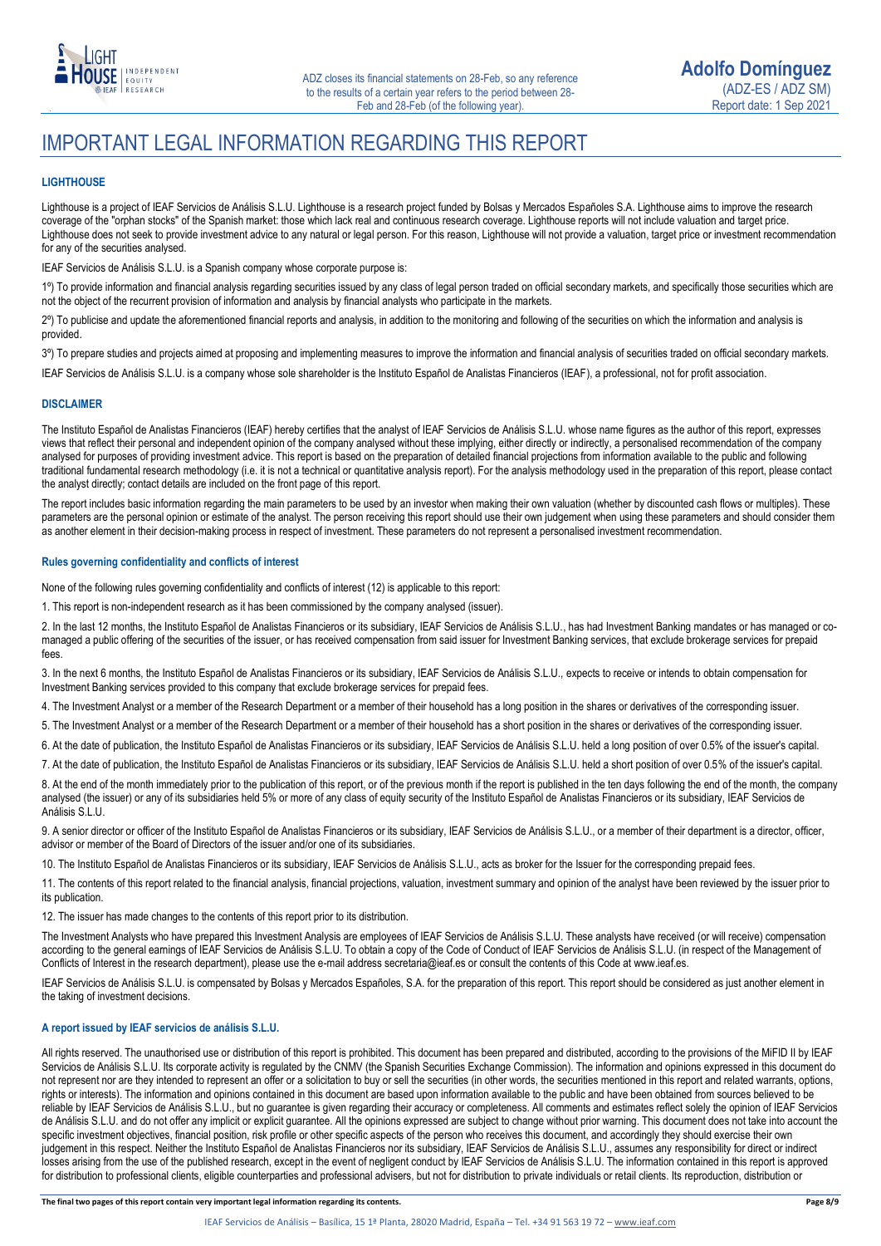

### IMPORTANT LEGAL INFORMATION REGARDING THIS REPORT

### **LIGHTHOUSE**

Lighthouse is a project of IEAF Servicios de Análisis S.L.U. Lighthouse is a research project funded by Bolsas y Mercados Españoles S.A. Lighthouse aims to improve the research coverage of the "orphan stocks" of the Spanish market: those which lack real and continuous research coverage. Lighthouse reports will not include valuation and target price. Lighthouse does not seek to provide investment advice to any natural or legal person. For this reason, Lighthouse will not provide a valuation, target price or investment recommendation for any of the securities analysed.

IEAF Servicios de Análisis S.L.U. is a Spanish company whose corporate purpose is:

1<sup>o</sup>) To provide information and financial analysis regarding securities issued by any class of legal person traded on official secondary markets, and specifically those securities which are not the object of the recurrent provision of information and analysis by financial analysts who participate in the markets.

2º) To publicise and update the aforementioned financial reports and analysis, in addition to the monitoring and following of the securities on which the information and analysis is provided.

3º) To prepare studies and projects aimed at proposing and implementing measures to improve the information and financial analysis of securities traded on official secondary markets.

IEAF Servicios de Análisis S.L.U. is a company whose sole shareholder is the Instituto Español de Analistas Financieros (IEAF), a professional, not for profit association.

#### **DISCLAIMER**

The Instituto Español de Analistas Financieros (IEAF) hereby certifies that the analyst of IEAF Servicios de Análisis S.L.U. whose name figures as the author of this report, expresses views that reflect their personal and independent opinion of the company analysed without these implying, either directly or indirectly, a personalised recommendation of the company analysed for purposes of providing investment advice. This report is based on the preparation of detailed financial projections from information available to the public and following traditional fundamental research methodology (i.e. it is not a technical or quantitative analysis report). For the analysis methodology used in the preparation of this report, please contact the analyst directly; contact details are included on the front page of this report.

The report includes basic information regarding the main parameters to be used by an investor when making their own valuation (whether by discounted cash flows or multiples). These parameters are the personal opinion or estimate of the analyst. The person receiving this report should use their own judgement when using these parameters and should consider them as another element in their decision-making process in respect of investment. These parameters do not represent a personalised investment recommendation.

#### **Rules governing confidentiality and conflicts of interest**

None of the following rules governing confidentiality and conflicts of interest (12) is applicable to this report:

1. This report is non-independent research as it has been commissioned by the company analysed (issuer).

2. In the last 12 months, the Instituto Español de Analistas Financieros or its subsidiary, IEAF Servicios de Análisis S.L.U., has had Investment Banking mandates or has managed or comanaged a public offering of the securities of the issuer, or has received compensation from said issuer for Investment Banking services, that exclude brokerage services for prepaid fees.

3. In the next 6 months, the Instituto Español de Analistas Financieros or its subsidiary, IEAF Servicios de Análisis S.L.U., expects to receive or intends to obtain compensation for Investment Banking services provided to this company that exclude brokerage services for prepaid fees.

4. The Investment Analyst or a member of the Research Department or a member of their household has a long position in the shares or derivatives of the corresponding issuer.

5. The Investment Analyst or a member of the Research Department or a member of their household has a short position in the shares or derivatives of the corresponding issuer.

6. At the date of publication, the Instituto Español de Analistas Financieros or its subsidiary, IEAF Servicios de Análisis S.L.U. held a long position of over 0.5% of the issuer's capital.

7. At the date of publication, the Instituto Español de Analistas Financieros or its subsidiary, IEAF Servicios de Análisis S.L.U. held a short position of over 0.5% of the issuer's capital.

8. At the end of the month immediately prior to the publication of this report, or of the previous month if the report is published in the ten days following the end of the month, the company analysed (the issuer) or any of its subsidiaries held 5% or more of any class of equity security of the Instituto Español de Analistas Financieros or its subsidiary, IEAF Servicios de Análisis S.L.U.

9. A senior director or officer of the Instituto Español de Analistas Financieros or its subsidiary, IEAF Servicios de Análisis S.L.U., or a member of their department is a director, officer, advisor or member of the Board of Directors of the issuer and/or one of its subsidiaries.

10. The Instituto Español de Analistas Financieros or its subsidiary, IEAF Servicios de Análisis S.L.U., acts as broker for the Issuer for the corresponding prepaid fees.

11. The contents of this report related to the financial analysis, financial projections, valuation, investment summary and opinion of the analyst have been reviewed by the issuer prior to its publication.

12. The issuer has made changes to the contents of this report prior to its distribution.

The Investment Analysts who have prepared this Investment Analysis are employees of IEAF Servicios de Análisis S.L.U. These analysts have received (or will receive) compensation according to the general earnings of IEAF Servicios de Análisis S.L.U. To obtain a copy of the Code of Conduct of IEAF Servicios de Análisis S.L.U. (in respect of the Management of Conflicts of Interest in the research department), please use the e-mail address secretaria@ieaf.es or consult the contents of this Code at [www.ieaf.es.](https://www.ieaf.es/images/IEAF/LIGHTHOUSE/IEAF_LIGHTHOUSE_CodigoDeConducta.pdf) 

IEAF Servicios de Análisis S.L.U. is compensated by Bolsas y Mercados Españoles, S.A. for the preparation of this report. This report should be considered as just another element in the taking of investment decisions.

### **A report issued by IEAF servicios de análisis S.L.U.**

All rights reserved. The unauthorised use or distribution of this report is prohibited. This document has been prepared and distributed, according to the provisions of the MiFID II by IEAF Servicios de Análisis S.L.U. Its corporate activity is regulated by the CNMV (the Spanish Securities Exchange Commission). The information and opinions expressed in this document do not represent nor are they intended to represent an offer or a solicitation to buy or sell the securities (in other words, the securities mentioned in this report and related warrants, options, rights or interests). The information and opinions contained in this document are based upon information available to the public and have been obtained from sources believed to be reliable by IEAF Servicios de Análisis S.L.U., but no guarantee is given regarding their accuracy or completeness. All comments and estimates reflect solely the opinion of IEAF Servicios de Análisis S.L.U. and do not offer any implicit or explicit guarantee. All the opinions expressed are subject to change without prior warning. This document does not take into account the specific investment objectives, financial position, risk profile or other specific aspects of the person who receives this document, and accordingly they should exercise their own judgement in this respect. Neither the Instituto Español de Analistas Financieros nor its subsidiary, IEAF Servicios de Análisis S.L.U., assumes any responsibility for direct or indirect losses arising from the use of the published research, except in the event of negligent conduct by IEAF Servicios de Análisis S.L.U. The information contained in this report is approved for distribution to professional clients, eligible counterparties and professional advisers, but not for distribution to private individuals or retail clients. Its reproduction, distribution or